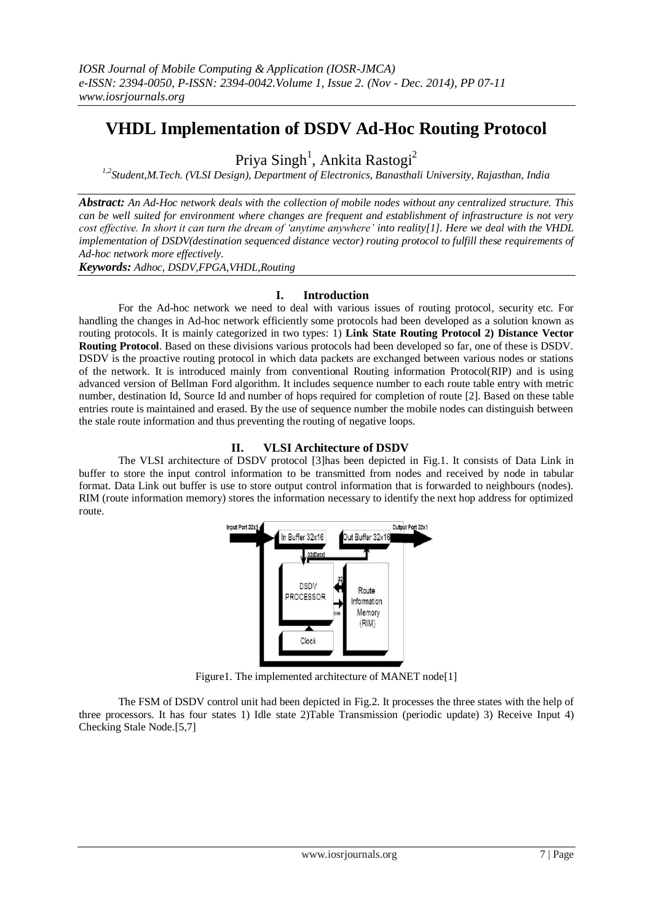# **VHDL Implementation of DSDV Ad-Hoc Routing Protocol**

Priya Singh<sup>1</sup>, Ankita Rastogi<sup>2</sup>

*1,2Student,M.Tech. (VLSI Design), Department of Electronics, Banasthali University, Rajasthan, India*

*Abstract: An Ad-Hoc network deals with the collection of mobile nodes without any centralized structure. This can be well suited for environment where changes are frequent and establishment of infrastructure is not very cost effective. In short it can turn the dream of 'anytime anywhere' into reality[1]. Here we deal with the VHDL implementation of DSDV(destination sequenced distance vector) routing protocol to fulfill these requirements of Ad-hoc network more effectively.*

*Keywords: Adhoc, DSDV,FPGA,VHDL,Routing*

## **I. Introduction**

For the Ad-hoc network we need to deal with various issues of routing protocol, security etc. For handling the changes in Ad-hoc network efficiently some protocols had been developed as a solution known as routing protocols. It is mainly categorized in two types: 1) **Link State Routing Protocol 2) Distance Vector Routing Protocol**. Based on these divisions various protocols had been developed so far, one of these is DSDV. DSDV is the proactive routing protocol in which data packets are exchanged between various nodes or stations of the network. It is introduced mainly from conventional Routing information Protocol(RIP) and is using advanced version of Bellman Ford algorithm. It includes sequence number to each route table entry with metric number, destination Id, Source Id and number of hops required for completion of route [2]. Based on these table entries route is maintained and erased. By the use of sequence number the mobile nodes can distinguish between the stale route information and thus preventing the routing of negative loops.

## **II. VLSI Architecture of DSDV**

The VLSI architecture of DSDV protocol [3]has been depicted in Fig.1. It consists of Data Link in buffer to store the input control information to be transmitted from nodes and received by node in tabular format. Data Link out buffer is use to store output control information that is forwarded to neighbours (nodes). RIM (route information memory) stores the information necessary to identify the next hop address for optimized route.



Figure1. The implemented architecture of MANET node[1]

The FSM of DSDV control unit had been depicted in Fig.2. It processes the three states with the help of three processors. It has four states 1) Idle state 2)Table Transmission (periodic update) 3) Receive Input 4) Checking Stale Node.[5,7]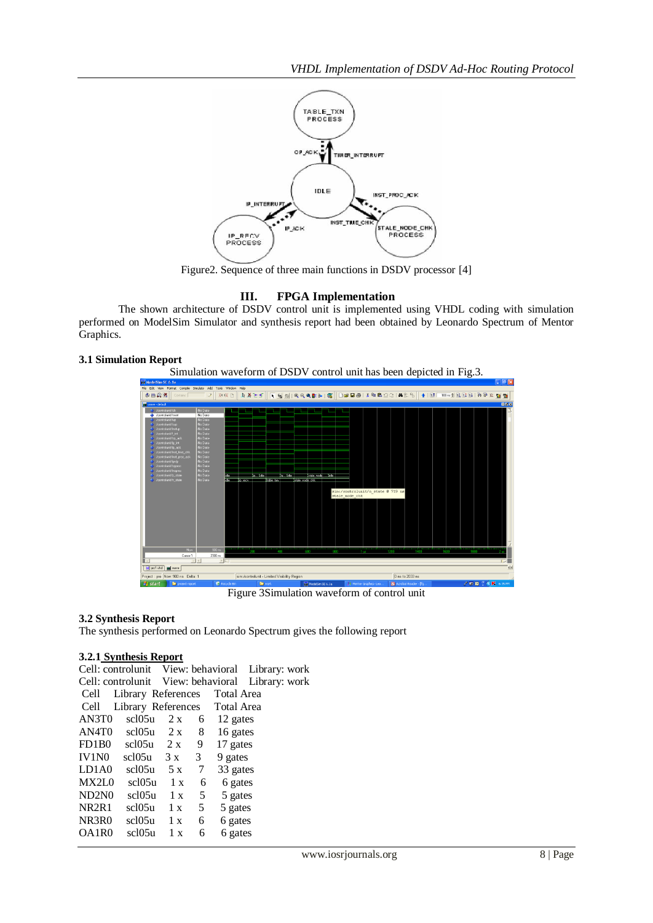

Figure2. Sequence of three main functions in DSDV processor [4]

# **III. FPGA Implementation**

The shown architecture of DSDV control unit is implemented using VHDL coding with simulation performed on ModelSim Simulator and synthesis report had been obtained by Leonardo Spectrum of Mentor Graphics.

## **3.1 Simulation Report**



Figure 3Simulation waveform of control unit

## **3.2 Synthesis Report**

The synthesis performed on Leonardo Spectrum gives the following report

## **3.2.1 Synthesis Report**

| Cell: controlunit View: behavioral Library: work |                                 |     |                 |              |  |
|--------------------------------------------------|---------------------------------|-----|-----------------|--------------|--|
| Cell: controlunit View: behavioral Library: work |                                 |     |                 |              |  |
| Cell                                             | Library References Total Area   |     |                 |              |  |
| Cell                                             | Library References Total Area   |     |                 |              |  |
| AN3T <sub>0</sub>                                | scl05u                          | 2 x |                 | $6$ 12 gates |  |
|                                                  | $AN4T0$ scl05u $2 x$ 8 16 gates |     |                 |              |  |
| FD1B0                                            | $\text{sc}105\text{u}$ 2 x 9    |     |                 | 17 gates     |  |
| IV1N0                                            | $\text{sc}105\text{u}$ 3 x 3    |     |                 | 9 gates      |  |
| LD1A0                                            | scl $05u$ 5 x                   |     | $7\overline{ }$ | 33 gates     |  |
| MX2L0                                            | $sc105u$ 1 x                    |     | 6               | 6 gates      |  |
| ND2N0                                            | $sc105u$ 1 x                    |     | 5 <sup>5</sup>  | 5 gates      |  |
| NR2R1                                            | $sc105u$ 1 x                    |     | 5 <sup>5</sup>  | 5 gates      |  |
| NR3R0                                            | $sc105u$ 1 x                    |     | 6               | 6 gates      |  |
| OA1R0                                            | scl05u                          | 1 x | 6               | 6 gates      |  |
|                                                  |                                 |     |                 |              |  |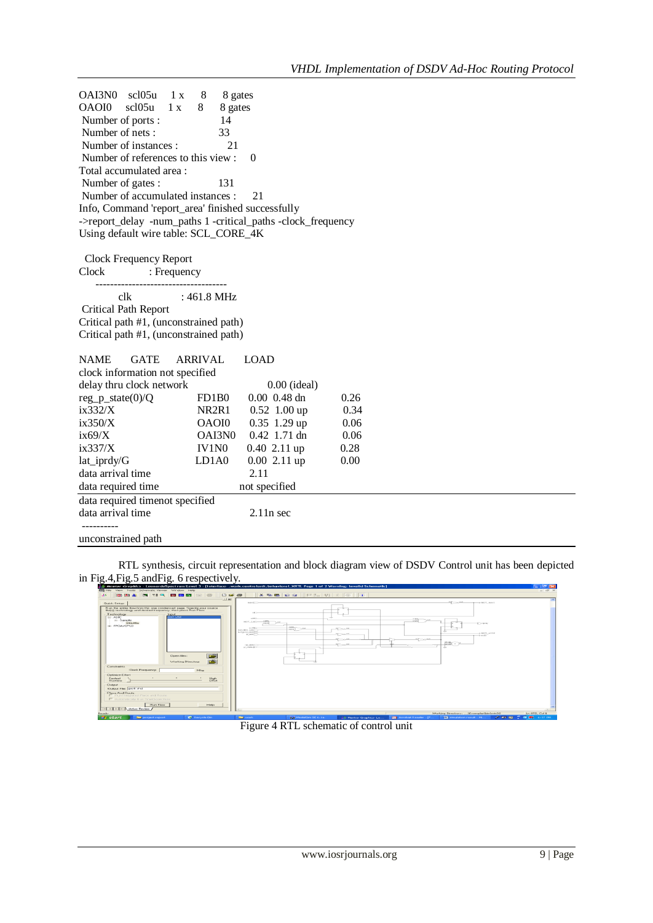OAI3N0 scl05u 1 x 8 8 gates<br>OAOI0 scl05u 1 x 8 8 gates OAOI0 scl05u 1 x 8 8 gates Number of ports : 14 Number of nets : 33 Number of instances : 21 Number of references to this view : 0 Total accumulated area : Number of gates : 131 Number of accumulated instances : 21 Info, Command 'report\_area' finished successfully ->report\_delay -num\_paths 1 -critical\_paths -clock\_frequency Using default wire table: SCL\_CORE\_4K

 Clock Frequency Report : Frequency ----------------------------------- clk : 461.8 MHz Critical Path Report

Critical path #1, (unconstrained path) Critical path #1, (unconstrained path)

| <b>NAME</b>                     | <b>GATE</b>                         | ARRIVAL            | LOAD                        |      |  |  |  |
|---------------------------------|-------------------------------------|--------------------|-----------------------------|------|--|--|--|
| clock information not specified |                                     |                    |                             |      |  |  |  |
| delay thru clock network        |                                     |                    | $0.00$ (ideal)              |      |  |  |  |
| $reg_p\_state(0)/Q$<br>FD1B0    |                                     |                    | $0.00 \, 0.48 \, \text{dn}$ | 0.26 |  |  |  |
| ix332/X                         |                                     | NR <sub>2R1</sub>  | $0.52$ 1.00 up              | 0.34 |  |  |  |
| ix350/X                         |                                     | OAOI0              | $0.35$ 1.29 up              | 0.06 |  |  |  |
| ix69/X                          |                                     | OAI3N <sub>0</sub> | $0.42$ 1.71 dn              | 0.06 |  |  |  |
| ix337/X                         |                                     | <b>IV1NO</b>       | $0.40$ 2.11 up              | 0.28 |  |  |  |
| lat_iprdy/G                     |                                     | LD1A0              | $0.00$ 2.11 up              | 0.00 |  |  |  |
| data arrival time               |                                     | 2.11               |                             |      |  |  |  |
|                                 | not specified<br>data required time |                    |                             |      |  |  |  |
| data required timenot specified |                                     |                    |                             |      |  |  |  |
| data arrival time               |                                     | $2.11n$ sec        |                             |      |  |  |  |
|                                 |                                     |                    |                             |      |  |  |  |

unconstrained path

RTL synthesis, circuit representation and block diagram view of DSDV Control unit has been depicted in Fig.4,Fig.5 andFig. 6 respectively.

| Newtor Graphics - LeonardeSpectrum Level 3 - [Interface - work.controlunit.behavioral_XRTL Page 1 of 2 Warning: Invalid Schemetic]                                                                                                                                                   |                                                                                                                                                                                                  |                                                                  | $-10$                                                                    |
|--------------------------------------------------------------------------------------------------------------------------------------------------------------------------------------------------------------------------------------------------------------------------------------|--------------------------------------------------------------------------------------------------------------------------------------------------------------------------------------------------|------------------------------------------------------------------|--------------------------------------------------------------------------|
| ED Pilo View Tools Scheraatic Viewer Window Help                                                                                                                                                                                                                                     |                                                                                                                                                                                                  |                                                                  | $-77.3$                                                                  |
| <b>B 22 Q B B B</b> B B<br><b>DGG</b><br><b>FOR DAY ALL</b><br><b>JK</b><br>$-1 - 1 - 1$<br>Quick Setup<br>Run the entire flow hom this one condensed page. Specify your source<br>Technology<br><b>Incourt</b><br>prof. vhd<br>$= 49C$<br>141 Sample<br>SELONAL<br><b>SUPPORTED</b> | $X = 10$ $10$ $12$ $10$ $11$ $10$ $10$<br><b>NAVED-</b><br><b>SALE</b><br>ALCOHOL: YES<br>HOT SAC-<br><b>RED</b><br>ALCOHOL: NO<br>net me call<br><b>Built gones parameters</b><br><b>BURNER</b> | $\frac{1}{1000}$<br><b>All County</b><br><b>All Country</b>      | 20 years<br>a corr next<br><b>CONNY</b><br>NUMBER OF STREET<br>$-$ 0.000 |
| 两<br><b>Open Bas</b><br><b>DEST</b><br>Warking Directory:<br>Complements<br>Clock Frequency<br><b>INFO</b>                                                                                                                                                                           | <b>GOLDEN COM</b><br>OUTSIDE CALL                                                                                                                                                                | <b>Moone</b><br><b>AT SOUTH</b><br><b>MCCOMM</b>                 | 品合っ                                                                      |
| <b>Clotinize Eithert</b><br>読<br>Fastast<br><b>Fluentierun</b><br><b>Clubbat</b><br><b>Clubsuit File:   prof.</b> vind<br>Place And Route<br>F PanTrieg shot Place and Rosho<br>E. Automotivate Run TimeCloser Flow                                                                  |                                                                                                                                                                                                  |                                                                  |                                                                          |
| Flory Flow<br>Help                                                                                                                                                                                                                                                                   |                                                                                                                                                                                                  |                                                                  |                                                                          |
| E < E > E Active Faviour<br><b>Distantly</b>                                                                                                                                                                                                                                         |                                                                                                                                                                                                  |                                                                  | Standard Wallace 31,  (More plants)<br>in 872, Col 1                     |
| <b>By start</b><br>C Recycle fiin<br><b>Cap project report</b>                                                                                                                                                                                                                       | <b>Children</b> Service Bo<br><b>But</b> Modelling SE 6, 16                                                                                                                                      | <b>Edit According Resident - D'-</b><br>LE Mentor Grophics- Lo., | of an applications, accounts<br><b>12 condition result - PE</b>          |

Figure 4 RTL schematic of control unit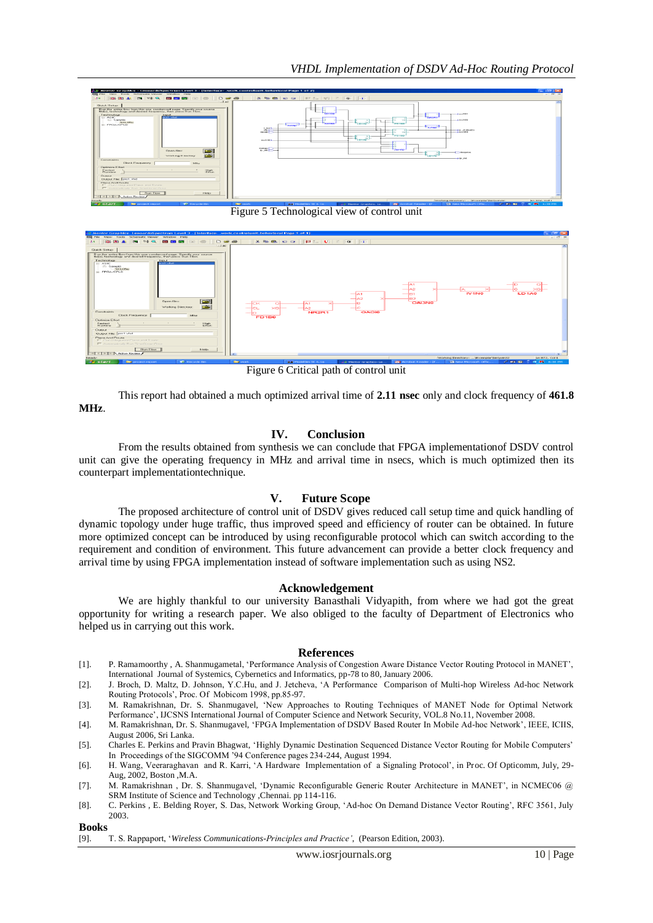

Figure 5 Technological view of control unit



Figure 6 Critical path of control unit

This report had obtained a much optimized arrival time of **2.11 nsec** only and clock frequency of **461.8 MHz**.

## **IV. Conclusion**

From the results obtained from synthesis we can conclude that FPGA implementationof DSDV control unit can give the operating frequency in MHz and arrival time in nsecs, which is much optimized then its counterpart implementationtechnique.

# **V. Future Scope**

The proposed architecture of control unit of DSDV gives reduced call setup time and quick handling of dynamic topology under huge traffic, thus improved speed and efficiency of router can be obtained. In future more optimized concept can be introduced by using reconfigurable protocol which can switch according to the requirement and condition of environment. This future advancement can provide a better clock frequency and arrival time by using FPGA implementation instead of software implementation such as using NS2.

#### **Acknowledgement**

We are highly thankful to our university Banasthali Vidyapith, from where we had got the great opportunity for writing a research paper. We also obliged to the faculty of Department of Electronics who helped us in carrying out this work.

#### **References**

- [1]. P. Ramamoorthy , A. Shanmugametal, 'Performance Analysis of Congestion Aware Distance Vector Routing Protocol in MANET', International Journal of Systemics, Cybernetics and Informatics, pp-78 to 80, January 2006.
- [2]. J. Broch, D. Maltz, D. Johnson, Y.C.Hu, and J. Jetcheva, 'A Performance Comparison of Multi-hop Wireless Ad-hoc Network Routing Protocols', Proc. Of Mobicom 1998, pp.85-97.
- [3]. M. Ramakrishnan, Dr. S. Shanmugavel, 'New Approaches to Routing Techniques of MANET Node for Optimal Network Performance', IJCSNS International Journal of Computer Science and Network Security, VOL.8 No.11, November 2008.
- [4]. M. Ramakrishnan, Dr. S. Shanmugavel, 'FPGA Implementation of DSDV Based Router In Mobile Ad-hoc Network', IEEE, ICIIS, August 2006, Sri Lanka.
- [5]. Charles E. Perkins and Pravin Bhagwat, 'Highly Dynamic Destination Sequenced Distance Vector Routing for Mobile Computers' In Proceedings of the SIGCOMM '94 Conference pages 234-244, August 1994.
- [6]. H. Wang, Veeraraghavan and R. Karri, 'A Hardware Implementation of a Signaling Protocol', in Proc. Of Opticomm, July, 29- Aug, 2002, Boston ,M.A.
- [7]. M. Ramakrishnan , Dr. S. Shanmugavel, 'Dynamic Reconfigurable Generic Router Architecture in MANET', in NCMEC06 @ SRM Institute of Science and Technology ,Chennai. pp 114-116.
- [8]. C. Perkins , E. Belding Royer, S. Das, Network Working Group, 'Ad-hoc On Demand Distance Vector Routing', RFC 3561, July 2003.

**Books**

[9]. T. S. Rappaport, '*Wireless Communications-Principles and Practice'*, (Pearson Edition, 2003).